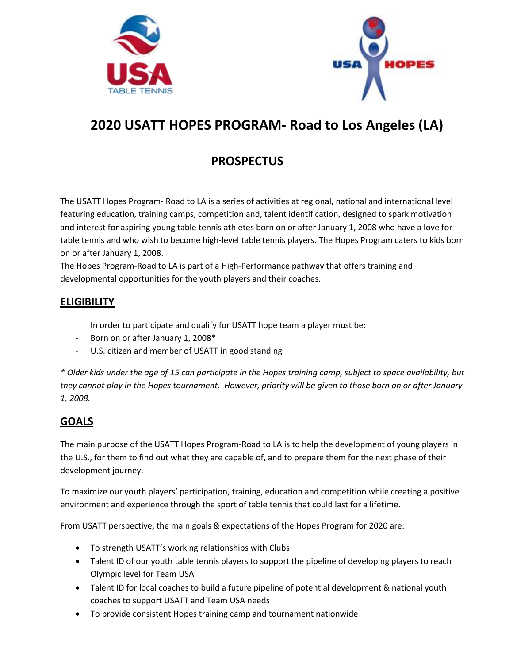



# **2020 USATT HOPES PROGRAM- Road to Los Angeles (LA)**

# **PROSPECTUS**

The USATT Hopes Program- Road to LA is a series of activities at regional, national and international level featuring education, training camps, competition and, talent identification, designed to spark motivation and interest for aspiring young table tennis athletes born on or after January 1, 2008 who have a love for table tennis and who wish to become high-level table tennis players. The Hopes Program caters to kids born on or after January 1, 2008.

The Hopes Program-Road to LA is part of a High-Performance pathway that offers training and developmental opportunities for the youth players and their coaches.

# **ELIGIBILITY**

- In order to participate and qualify for USATT hope team a player must be:
- Born on or after January 1, 2008\*
- U.S. citizen and member of USATT in good standing

*\* Older kids under the age of 15 can participate in the Hopes training camp, subject to space availability, but they cannot play in the Hopes tournament. However, priority will be given to those born on or after January 1, 2008.*

# **GOALS**

The main purpose of the USATT Hopes Program-Road to LA is to help the development of young players in the U.S., for them to find out what they are capable of, and to prepare them for the next phase of their development journey.

To maximize our youth players' participation, training, education and competition while creating a positive environment and experience through the sport of table tennis that could last for a lifetime.

From USATT perspective, the main goals & expectations of the Hopes Program for 2020 are:

- To strength USATT's working relationships with Clubs
- Talent ID of our youth table tennis players to support the pipeline of developing players to reach Olympic level for Team USA
- Talent ID for local coaches to build a future pipeline of potential development & national youth coaches to support USATT and Team USA needs
- To provide consistent Hopes training camp and tournament nationwide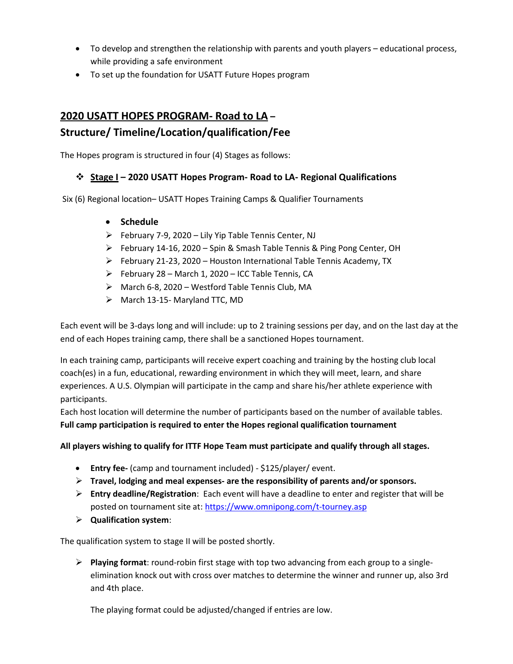- To develop and strengthen the relationship with parents and youth players educational process, while providing a safe environment
- To set up the foundation for USATT Future Hopes program

# **2020 USATT HOPES PROGRAM- Road to LA – Structure/ Timeline/Location/qualification/Fee**

The Hopes program is structured in four (4) Stages as follows:

### ❖ **Stage I – 2020 USATT Hopes Program- Road to LA- Regional Qualifications**

Six (6) Regional location– USATT Hopes Training Camps & Qualifier Tournaments

- **Schedule**
- ➢ February 7-9, 2020 Lily Yip Table Tennis Center, NJ
- ➢ February 14-16, 2020 Spin & Smash Table Tennis & Ping Pong Center, OH
- $\triangleright$  February 21-23, 2020 Houston International Table Tennis Academy, TX
- $\triangleright$  February 28 March 1, 2020 ICC Table Tennis, CA
- ➢ March 6-8, 2020 Westford Table Tennis Club, MA
- $\triangleright$  March 13-15- Maryland TTC, MD

Each event will be 3-days long and will include: up to 2 training sessions per day, and on the last day at the end of each Hopes training camp, there shall be a sanctioned Hopes tournament.

In each training camp, participants will receive expert coaching and training by the hosting club local coach(es) in a fun, educational, rewarding environment in which they will meet, learn, and share experiences. A U.S. Olympian will participate in the camp and share his/her athlete experience with participants.

Each host location will determine the number of participants based on the number of available tables. **Full camp participation is required to enter the Hopes regional qualification tournament**

**All players wishing to qualify for ITTF Hope Team must participate and qualify through all stages.**

- **Entry fee-** (camp and tournament included) \$125/player/ event.
- ➢ **Travel, lodging and meal expenses- are the responsibility of parents and/or sponsors.**
- ➢ **Entry deadline/Registration**: Each event will have a deadline to enter and register that will be posted on tournament site at[: https://www.omnipong.com/t-tourney.asp](https://www.omnipong.com/t-tourney.asp)
- ➢ **Qualification system**:

The qualification system to stage II will be posted shortly.

➢ **Playing format**: round-robin first stage with top two advancing from each group to a singleelimination knock out with cross over matches to determine the winner and runner up, also 3rd and 4th place.

The playing format could be adjusted/changed if entries are low.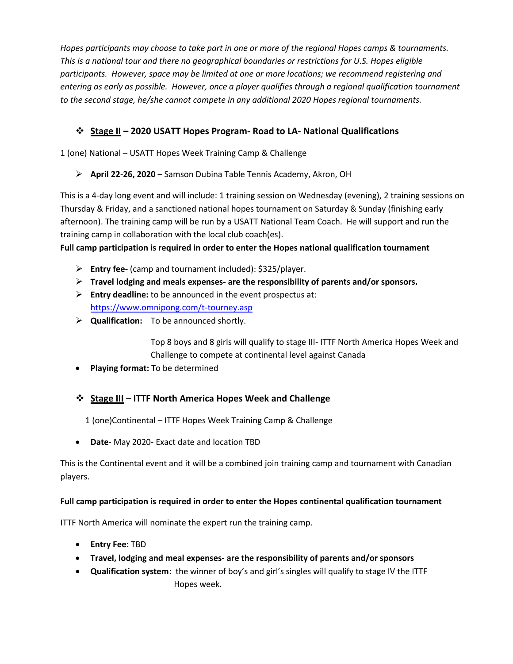*Hopes participants may choose to take part in one or more of the regional Hopes camps & tournaments. This is a national tour and there no geographical boundaries or restrictions for U.S. Hopes eligible participants. However, space may be limited at one or more locations; we recommend registering and entering as early as possible. However, once a player qualifies through a regional qualification tournament to the second stage, he/she cannot compete in any additional 2020 Hopes regional tournaments.* 

## ❖ **Stage II – 2020 USATT Hopes Program- Road to LA- National Qualifications**

1 (one) National – USATT Hopes Week Training Camp & Challenge

#### ➢ **April 22-26, 2020** – Samson Dubina Table Tennis Academy, Akron, OH

This is a 4-day long event and will include: 1 training session on Wednesday (evening), 2 training sessions on Thursday & Friday, and a sanctioned national hopes tournament on Saturday & Sunday (finishing early afternoon). The training camp will be run by a USATT National Team Coach. He will support and run the training camp in collaboration with the local club coach(es).

**Full camp participation is required in order to enter the Hopes national qualification tournament**

- ➢ **Entry fee-** (camp and tournament included): \$325/player.
- ➢ **Travel lodging and meals expenses- are the responsibility of parents and/or sponsors.**
- ➢ **Entry deadline:** to be announced in the event prospectus at: <https://www.omnipong.com/t-tourney.asp>
- ➢ **Qualification:** To be announced shortly.

Top 8 boys and 8 girls will qualify to stage III- ITTF North America Hopes Week and Challenge to compete at continental level against Canada

• **Playing format:** To be determined

### ❖ **Stage III – ITTF North America Hopes Week and Challenge**

1 (one)Continental – ITTF Hopes Week Training Camp & Challenge

• **Date**- May 2020- Exact date and location TBD

This is the Continental event and it will be a combined join training camp and tournament with Canadian players.

#### **Full camp participation is required in order to enter the Hopes continental qualification tournament**

ITTF North America will nominate the expert run the training camp.

- **Entry Fee**: TBD
- **Travel, lodging and meal expenses- are the responsibility of parents and/or sponsors**
- **Qualification system**: the winner of boy's and girl's singles will qualify to stage IV the ITTF Hopes week.